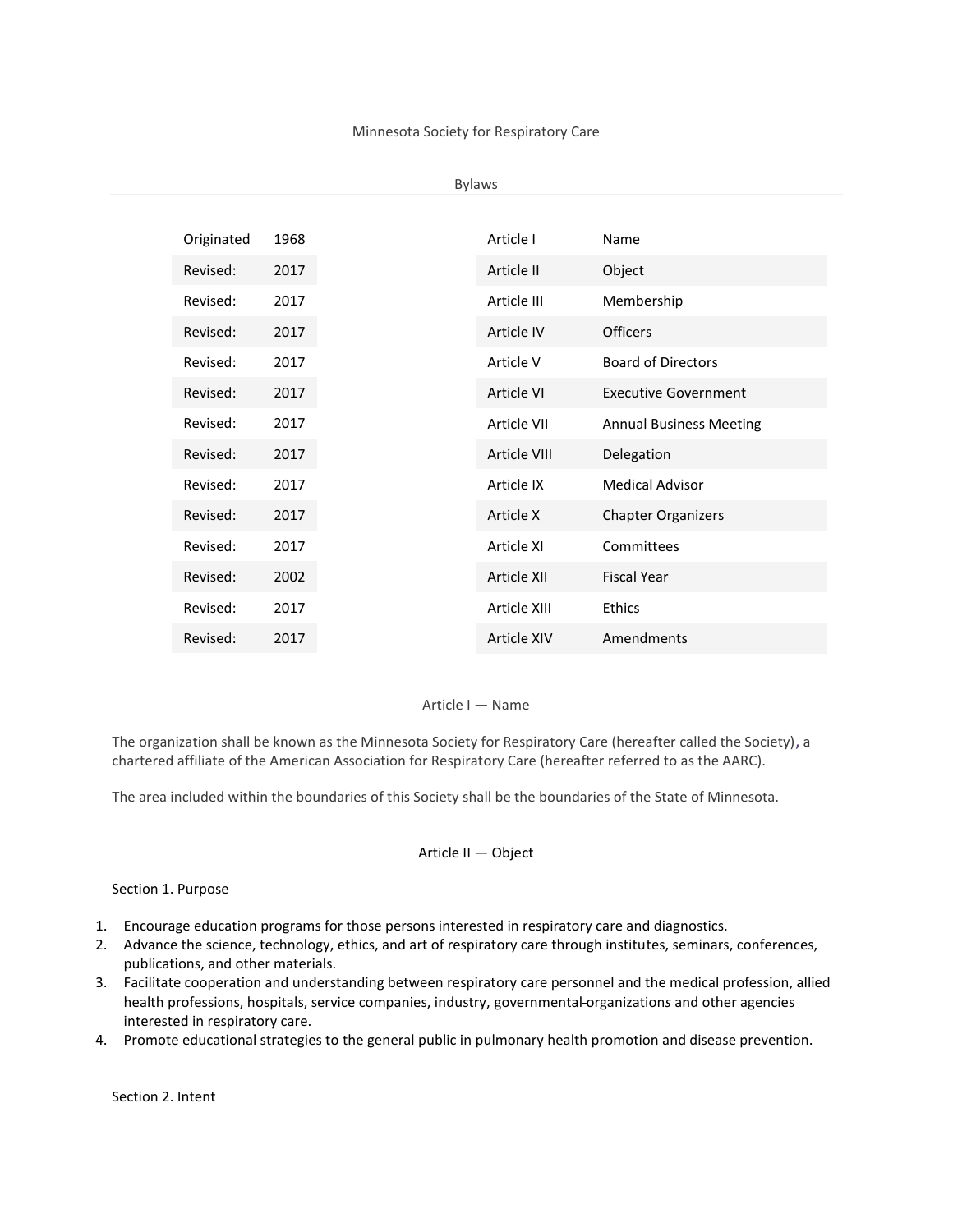#### Minnesota Society for Respiratory Care

#### Bylaws

| Originated | 1968 |
|------------|------|
| Revised:   | 2017 |
| Revised:   | 2017 |
| Revised:   | 2017 |
| Revised:   | 2017 |
| Revised:   | 2017 |
| Revised:   | 2017 |
| Revised:   | 2017 |
| Revised:   | 2017 |
| Revised:   | 2017 |
| Revised:   | 2017 |
| Revised:   | 2002 |
| Revised:   | 2017 |
| Revised:   | 2017 |

# Article I — Name

The organization shall be known as the Minnesota Society for Respiratory Care (hereafter called the Society)**,** a chartered affiliate of the American Association for Respiratory Care (hereafter referred to as the AARC).

The area included within the boundaries of this Society shall be the boundaries of the State of Minnesota.

# Article II — Object

### Section 1. Purpose

- 1. Encourage education programs for those persons interested in respiratory care and diagnostics.
- 2. Advance the science, technology, ethics, and art of respiratory care through institutes, seminars, conferences, publications, and other materials.
- 3. Facilitate cooperation and understanding between respiratory care personnel and the medical profession, allied health professions, hospitals, service companies, industry, governmental organization*s* and other agencies interested in respiratory care.
- 4. Promote educational strategies to the general public in pulmonary health promotion and disease prevention.

Section 2. Intent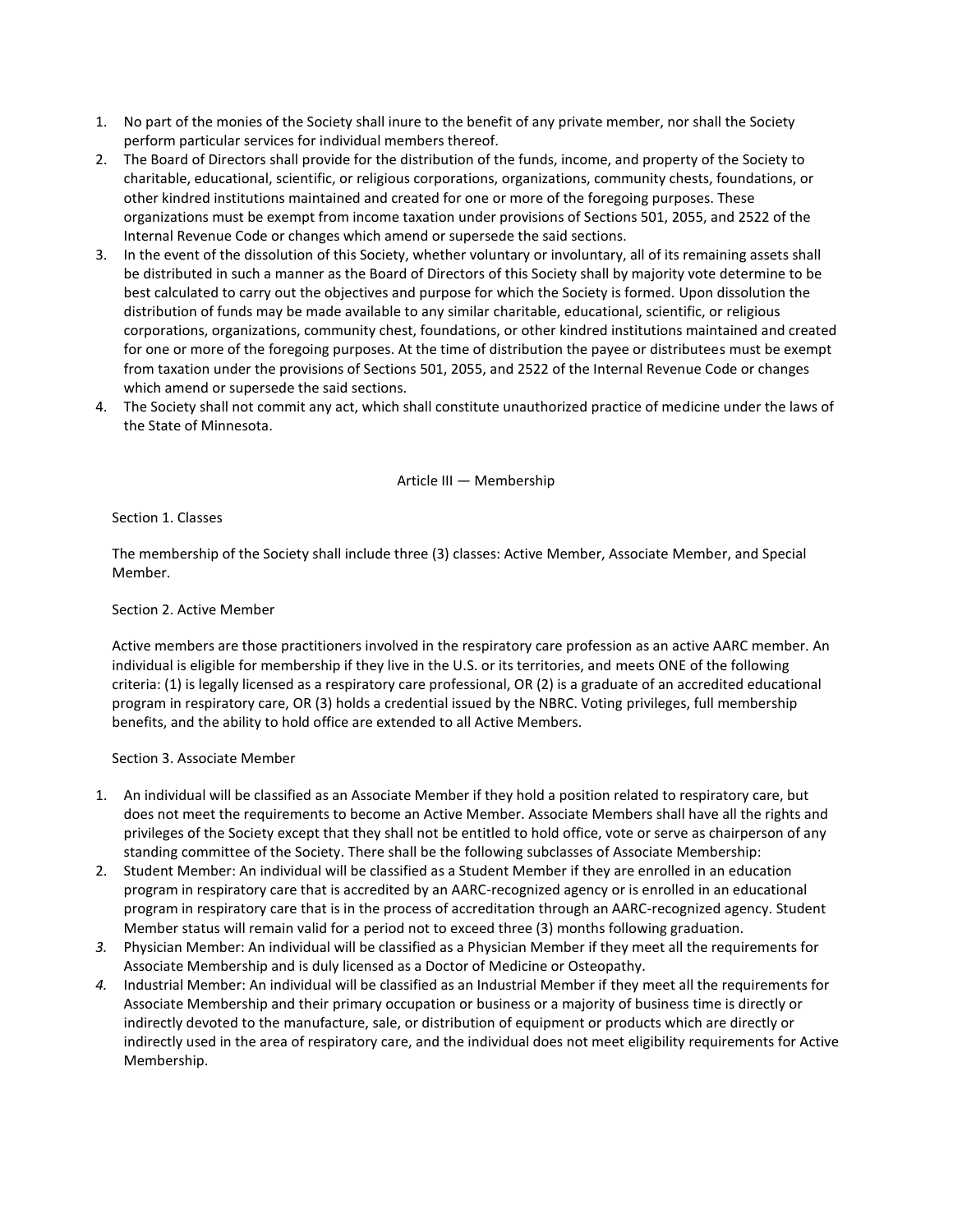- 1. No part of the monies of the Society shall inure to the benefit of any private member, nor shall the Society perform particular services for individual members thereof.
- 2. The Board of Directors shall provide for the distribution of the funds, income, and property of the Society to charitable, educational, scientific, or religious corporations, organizations, community chests, foundations, or other kindred institutions maintained and created for one or more of the foregoing purposes. These organizations must be exempt from income taxation under provisions of Sections 501, 2055, and 2522 of the Internal Revenue Code or changes which amend or supersede the said sections.
- 3. In the event of the dissolution of this Society, whether voluntary or involuntary, all of its remaining assets shall be distributed in such a manner as the Board of Directors of this Society shall by majority vote determine to be best calculated to carry out the objectives and purpose for which the Society is formed. Upon dissolution the distribution of funds may be made available to any similar charitable, educational, scientific, or religious corporations, organizations, community chest, foundations, or other kindred institutions maintained and created for one or more of the foregoing purposes. At the time of distribution the payee or distributees must be exempt from taxation under the provisions of Sections 501, 2055, and 2522 of the Internal Revenue Code or changes which amend or supersede the said sections.
- 4. The Society shall not commit any act, which shall constitute unauthorized practice of medicine under the laws of the State of Minnesota.

### Article III — Membership

Section 1. Classes

The membership of the Society shall include three (3) classes: Active Member, Associate Member, and Special Member.

### Section 2. Active Member

Active members are those practitioners involved in the respiratory care profession as an active AARC member. An individual is eligible for membership if they live in the U.S. or its territories, and meets ONE of the following criteria: (1) is legally licensed as a respiratory care professional, OR (2) is a graduate of an accredited educational program in respiratory care, OR (3) holds a credential issued by the NBRC. Voting privileges, full membership benefits, and the ability to hold office are extended to all Active Members.

#### Section 3. Associate Member

- 1. An individual will be classified as an Associate Member if they hold a position related to respiratory care, but does not meet the requirements to become an Active Member. Associate Members shall have all the rights and privileges of the Society except that they shall not be entitled to hold office, vote or serve as chairperson of any standing committee of the Society. There shall be the following subclasses of Associate Membership:
- 2. Student Member: An individual will be classified as a Student Member if they are enrolled in an education program in respiratory care that is accredited by an AARC-recognized agency or is enrolled in an educational program in respiratory care that is in the process of accreditation through an AARC-recognized agency. Student Member status will remain valid for a period not to exceed three (3) months following graduation.
- *3.* Physician Member: An individual will be classified as a Physician Member if they meet all the requirements for Associate Membership and is duly licensed as a Doctor of Medicine or Osteopathy*.*
- *4.* Industrial Member: An individual will be classified as an Industrial Member if they meet all the requirements for Associate Membership and their primary occupation or business or a majority of business time is directly or indirectly devoted to the manufacture, sale, or distribution of equipment or products which are directly or indirectly used in the area of respiratory care, and the individual does not meet eligibility requirements for Active Membership.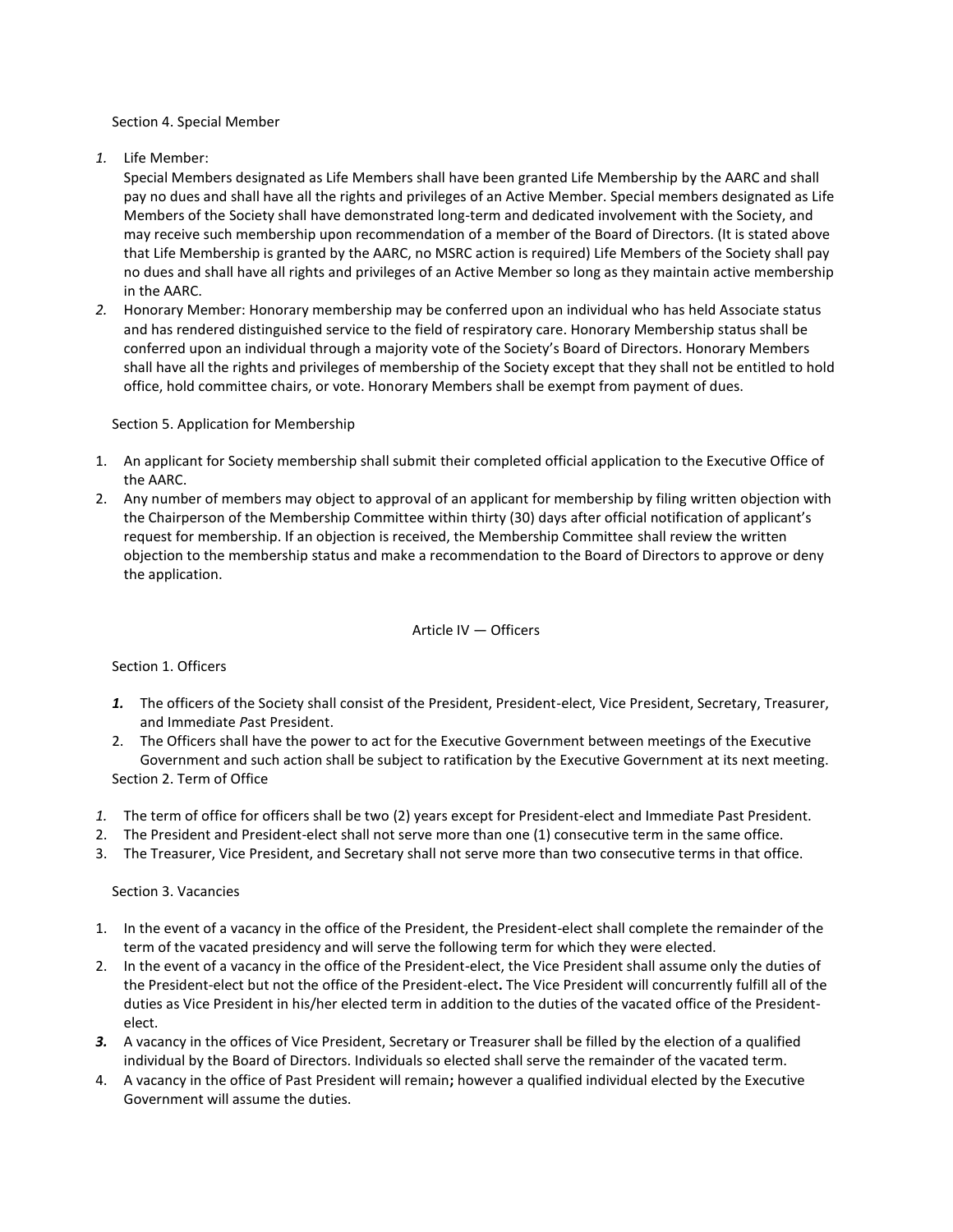#### Section 4. Special Member

*1.* Life Member:

Special Members designated as Life Members shall have been granted Life Membership by the AARC and shall pay no dues and shall have all the rights and privileges of an Active Member. Special members designated as Life Members of the Society shall have demonstrated long-term and dedicated involvement with the Society, and may receive such membership upon recommendation of a member of the Board of Directors. (It is stated above that Life Membership is granted by the AARC, no MSRC action is required) Life Members of the Society shall pay no dues and shall have all rights and privileges of an Active Member so long as they maintain active membership in the AARC.

*2.* Honorary Member: Honorary membership may be conferred upon an individual who has held Associate status and has rendered distinguished service to the field of respiratory care. Honorary Membership status shall be conferred upon an individual through a majority vote of the Society's Board of Directors. Honorary Members shall have all the rights and privileges of membership of the Society except that they shall not be entitled to hold office, hold committee chairs, or vote. Honorary Members shall be exempt from payment of dues.

# Section 5. Application for Membership

- 1. An applicant for Society membership shall submit their completed official application to the Executive Office of the AARC.
- 2. Any number of members may object to approval of an applicant for membership by filing written objection with the Chairperson of the Membership Committee within thirty (30) days after official notification of applicant's request for membership. If an objection is received, the Membership Committee shall review the written objection to the membership status and make a recommendation to the Board of Directors to approve or deny the application.

# Article IV — Officers

# Section 1. Officers

- *1.* The officers of the Society shall consist of the President, President-elect, Vice President, Secretary, Treasurer, and Immediate *P*ast President.
- 2. The Officers shall have the power to act for the Executive Government between meetings of the Executive Government and such action shall be subject to ratification by the Executive Government at its next meeting. Section 2. Term of Office
- *1.* The term of office for officers shall be two (2) years except for President-elect and Immediate Past President.
- 2. The President and President-elect shall not serve more than one (1) consecutive term in the same office.
- 3. The Treasurer, Vice President, and Secretary shall not serve more than two consecutive terms in that office.

# Section 3. Vacancies

- 1. In the event of a vacancy in the office of the President, the President-elect shall complete the remainder of the term of the vacated presidency and will serve the following term for which they were elected.
- 2. In the event of a vacancy in the office of the President-elect, the Vice President shall assume only the duties of the President-elect but not the office of the President-elect**.** The Vice President will concurrently fulfill all of the duties as Vice President in his/her elected term in addition to the duties of the vacated office of the Presidentelect.
- *3.* A vacancy in the offices of Vice President, Secretary or Treasurer shall be filled by the election of a qualified individual by the Board of Directors. Individuals so elected shall serve the remainder of the vacated term.
- 4. A vacancy in the office of Past President will remain**;** however a qualified individual elected by the Executive Government will assume the duties.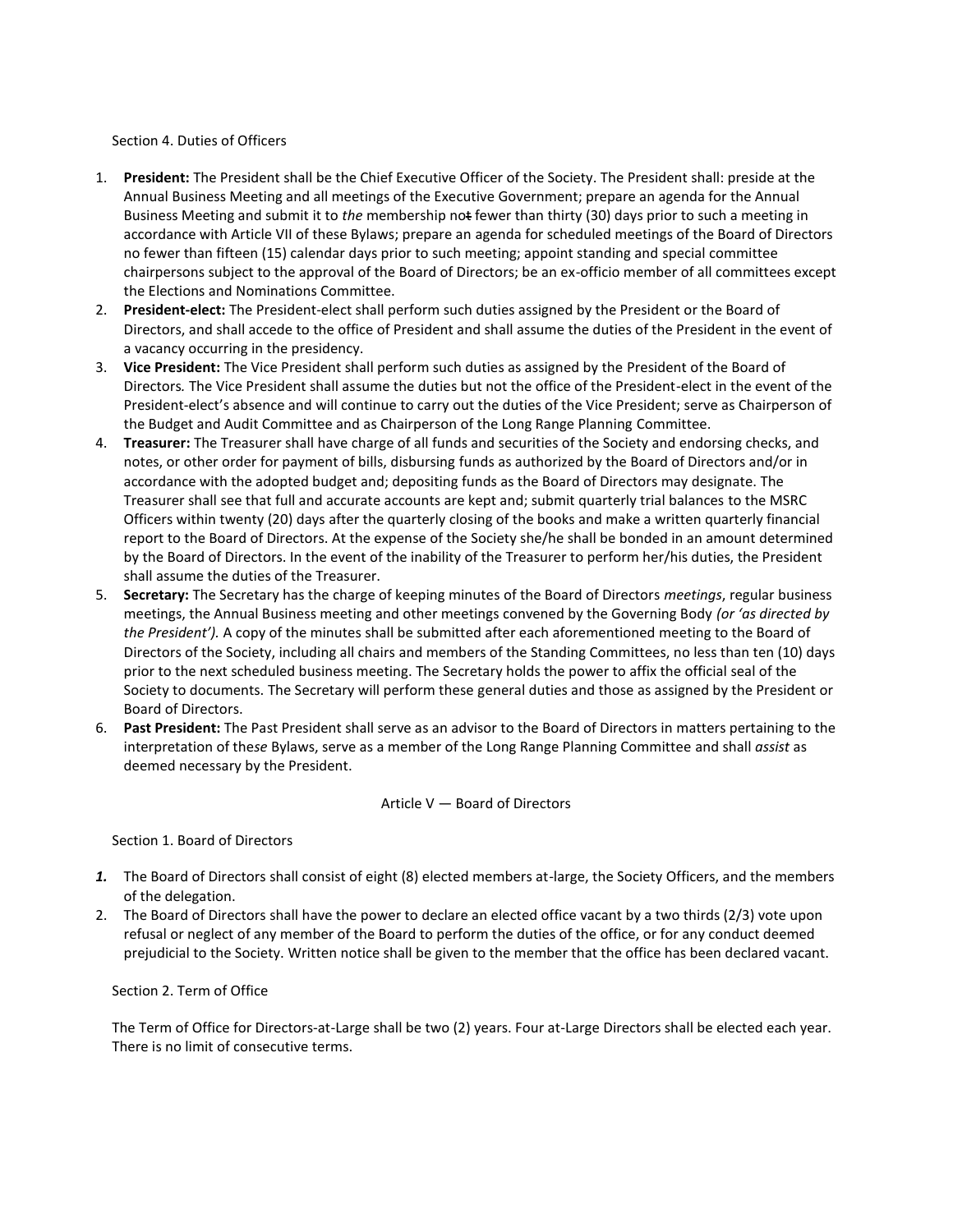### Section 4. Duties of Officers

- 1. **President:** The President shall be the Chief Executive Officer of the Society. The President shall: preside at the Annual Business Meeting and all meetings of the Executive Government; prepare an agenda for the Annual Business Meeting and submit it to *the* membership not fewer than thirty (30) days prior to such a meeting in accordance with Article VII of these Bylaws; prepare an agenda for scheduled meetings of the Board of Directors no fewer than fifteen (15) calendar days prior to such meeting; appoint standing and special committee chairpersons subject to the approval of the Board of Directors; be an ex-officio member of all committees except the Elections and Nominations Committee.
- 2. **President-elect:** The President-elect shall perform such duties assigned by the President or the Board of Directors, and shall accede to the office of President and shall assume the duties of the President in the event of a vacancy occurring in the presidency.
- 3. **Vice President:** The Vice President shall perform such duties as assigned by the President of the Board of Directors*.* The Vice President shall assume the duties but not the office of the President-elect in the event of the President-elect's absence and will continue to carry out the duties of the Vice President; serve as Chairperson of the Budget and Audit Committee and as Chairperson of the Long Range Planning Committee.
- 4. **Treasurer:** The Treasurer shall have charge of all funds and securities of the Society and endorsing checks, and notes, or other order for payment of bills, disbursing funds as authorized by the Board of Directors and/or in accordance with the adopted budget and; depositing funds as the Board of Directors may designate. The Treasurer shall see that full and accurate accounts are kept and; submit quarterly trial balances to the MSRC Officers within twenty (20) days after the quarterly closing of the books and make a written quarterly financial report to the Board of Directors. At the expense of the Society she/he shall be bonded in an amount determined by the Board of Directors. In the event of the inability of the Treasurer to perform her/his duties, the President shall assume the duties of the Treasurer.
- 5. **Secretary:** The Secretary has the charge of keeping minutes of the Board of Directors *meetings*, regular business meetings, the Annual Business meeting and other meetings convened by the Governing Body *(or 'as directed by the President').* A copy of the minutes shall be submitted after each aforementioned meeting to the Board of Directors of the Society, including all chairs and members of the Standing Committees, no less than ten (10) days prior to the next scheduled business meeting. The Secretary holds the power to affix the official seal of the Society to documents. The Secretary will perform these general duties and those as assigned by the President or Board of Directors.
- 6. **Past President:** The Past President shall serve as an advisor to the Board of Directors in matters pertaining to the interpretation of the*se* Bylaws, serve as a member of the Long Range Planning Committee and shall *assist* as deemed necessary by the President.

Article V — Board of Directors

Section 1. Board of Directors

- *1.* The Board of Directors shall consist of eight (8) elected members at-large, the Society Officers, and the members of the delegation.
- 2. The Board of Directors shall have the power to declare an elected office vacant by a two thirds (2/3) vote upon refusal or neglect of any member of the Board to perform the duties of the office, or for any conduct deemed prejudicial to the Society. Written notice shall be given to the member that the office has been declared vacant.

# Section 2. Term of Office

The Term of Office for Directors-at-Large shall be two (2) years. Four at-Large Directors shall be elected each year. There is no limit of consecutive terms.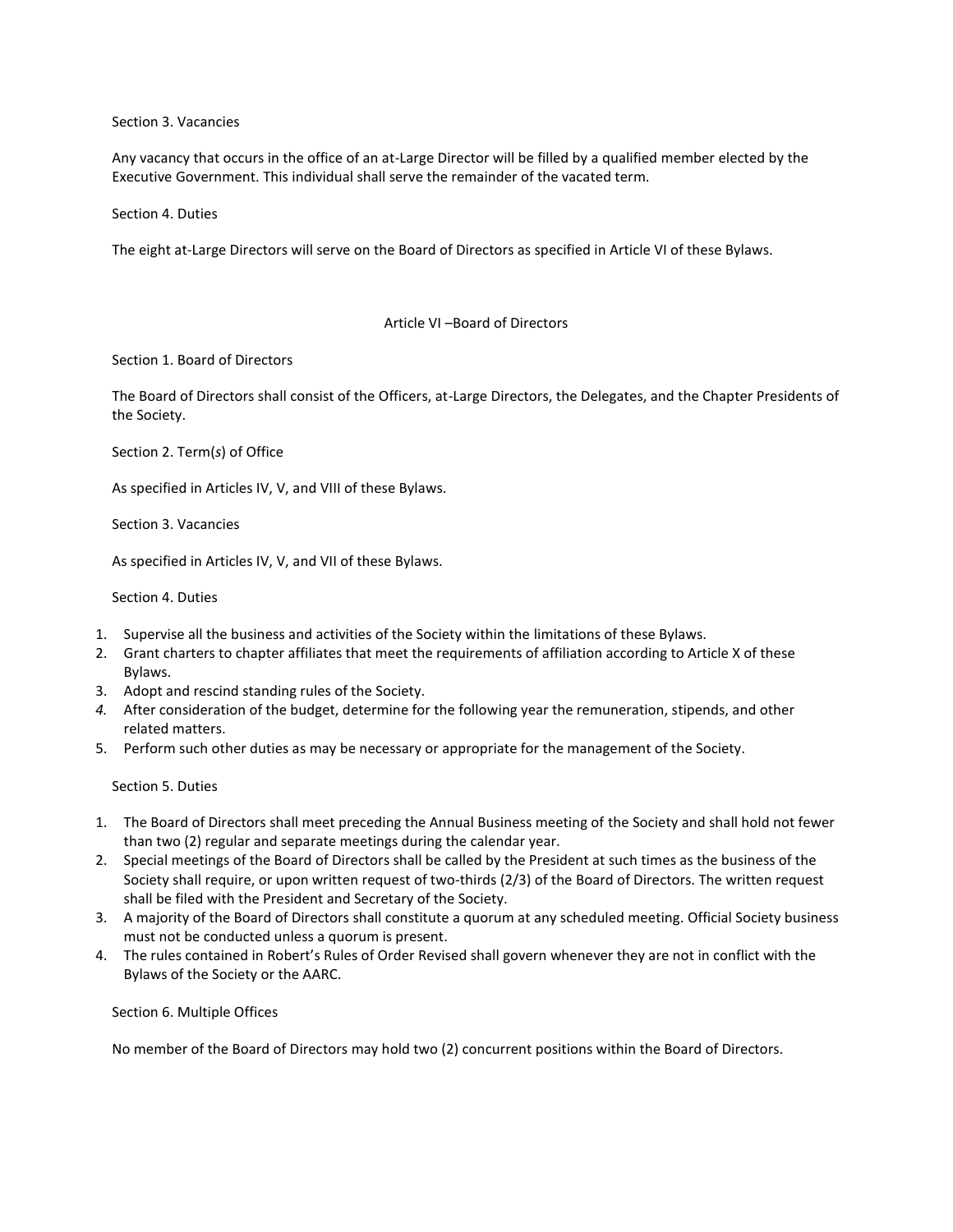Section 3. Vacancies

Any vacancy that occurs in the office of an at-Large Director will be filled by a qualified member elected by the Executive Government. This individual shall serve the remainder of the vacated term.

Section 4. Duties

The eight at-Large Directors will serve on the Board of Directors as specified in Article VI of these Bylaws.

#### Article VI –Board of Directors

Section 1. Board of Directors

The Board of Directors shall consist of the Officers, at-Large Directors, the Delegates, and the Chapter Presidents of the Society.

Section 2. Term(*s*) of Office

As specified in Articles IV, V, and VIII of these Bylaws.

Section 3. Vacancies

As specified in Articles IV, V, and VII of these Bylaws.

Section 4. Duties

- 1. Supervise all the business and activities of the Society within the limitations of these Bylaws.
- 2. Grant charters to chapter affiliates that meet the requirements of affiliation according to Article X of these Bylaws.
- 3. Adopt and rescind standing rules of the Society.
- *4.* After consideration of the budget, determine for the following year the remuneration, stipends, and other related matters.
- 5. Perform such other duties as may be necessary or appropriate for the management of the Society.

Section 5. Duties

- 1. The Board of Directors shall meet preceding the Annual Business meeting of the Society and shall hold not fewer than two (2) regular and separate meetings during the calendar year.
- 2. Special meetings of the Board of Directors shall be called by the President at such times as the business of the Society shall require, or upon written request of two-thirds (2/3) of the Board of Directors. The written request shall be filed with the President and Secretary of the Society.
- 3. A majority of the Board of Directors shall constitute a quorum at any scheduled meeting. Official Society business must not be conducted unless a quorum is present.
- 4. The rules contained in Robert's Rules of Order Revised shall govern whenever they are not in conflict with the Bylaws of the Society or the AARC.

Section 6. Multiple Offices

No member of the Board of Directors may hold two (2) concurrent positions within the Board of Directors.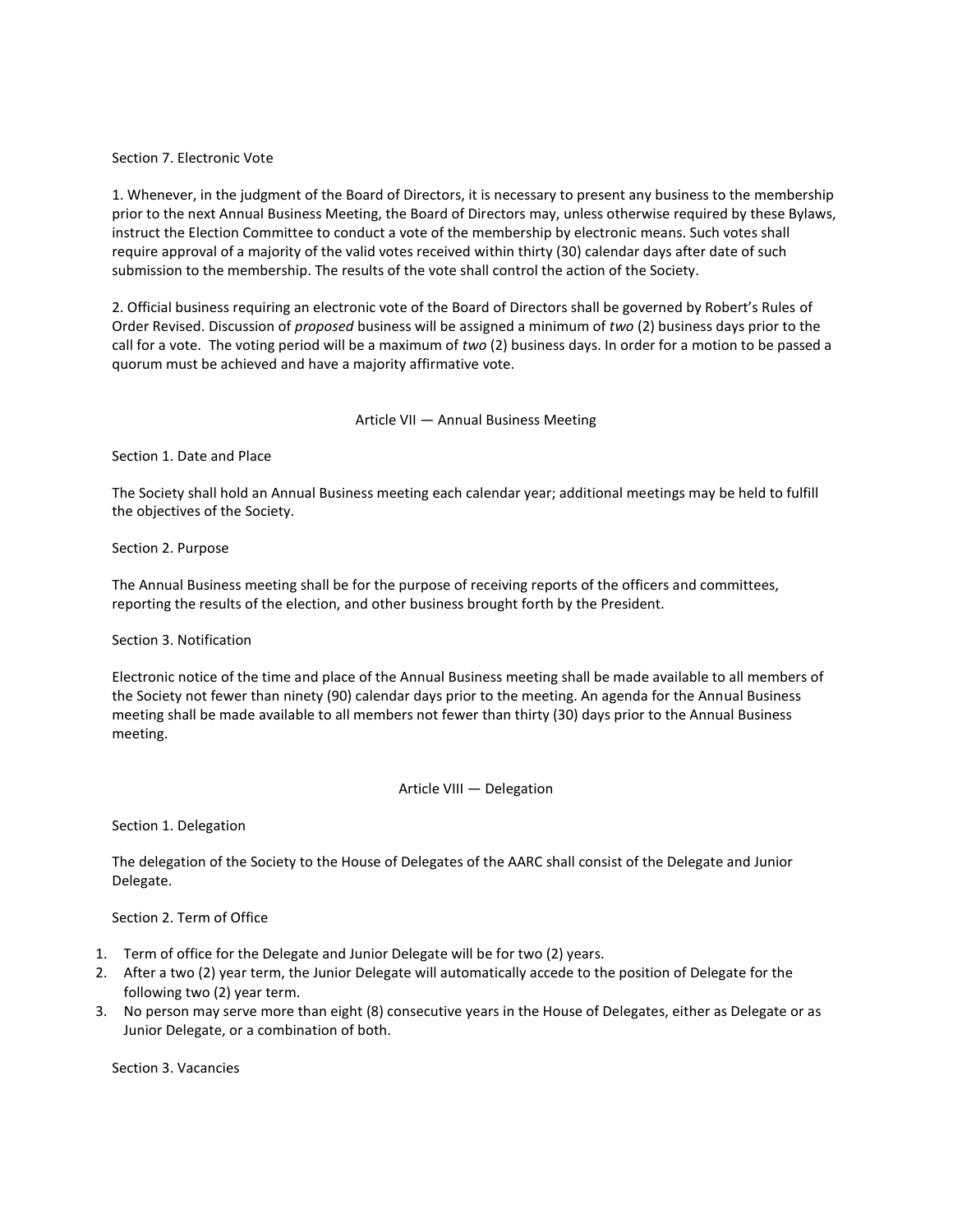### Section 7. Electronic Vote

1. Whenever, in the judgment of the Board of Directors, it is necessary to present any business to the membership prior to the next Annual Business Meeting, the Board of Directors may, unless otherwise required by these Bylaws, instruct the Election Committee to conduct a vote of the membership by electronic means. Such votes shall require approval of a majority of the valid votes received within thirty (30) calendar days after date of such submission to the membership. The results of the vote shall control the action of the Society.

2. Official business requiring an electronic vote of the Board of Directors shall be governed by Robert's Rules of Order Revised. Discussion of *proposed* business will be assigned a minimum of *two* (2) business days prior to the call for a vote. The voting period will be a maximum of *two* (2) business days. In order for a motion to be passed a quorum must be achieved and have a majority affirmative vote.

### Article VII — Annual Business Meeting

Section 1. Date and Place

The Society shall hold an Annual Business meeting each calendar year; additional meetings may be held to fulfill the objectives of the Society.

Section 2. Purpose

The Annual Business meeting shall be for the purpose of receiving reports of the officers and committees, reporting the results of the election, and other business brought forth by the President.

#### Section 3. Notification

Electronic notice of the time and place of the Annual Business meeting shall be made available to all members of the Society not fewer than ninety (90) calendar days prior to the meeting. An agenda for the Annual Business meeting shall be made available to all members not fewer than thirty (30) days prior to the Annual Business meeting.

#### Article VIII — Delegation

Section 1. Delegation

The delegation of the Society to the House of Delegates of the AARC shall consist of the Delegate and Junior Delegate.

Section 2. Term of Office

- 1. Term of office for the Delegate and Junior Delegate will be for two (2) years.
- 2. After a two (2) year term, the Junior Delegate will automatically accede to the position of Delegate for the following two (2) year term.
- 3. No person may serve more than eight (8) consecutive years in the House of Delegates, either as Delegate or as Junior Delegate, or a combination of both.

Section 3. Vacancies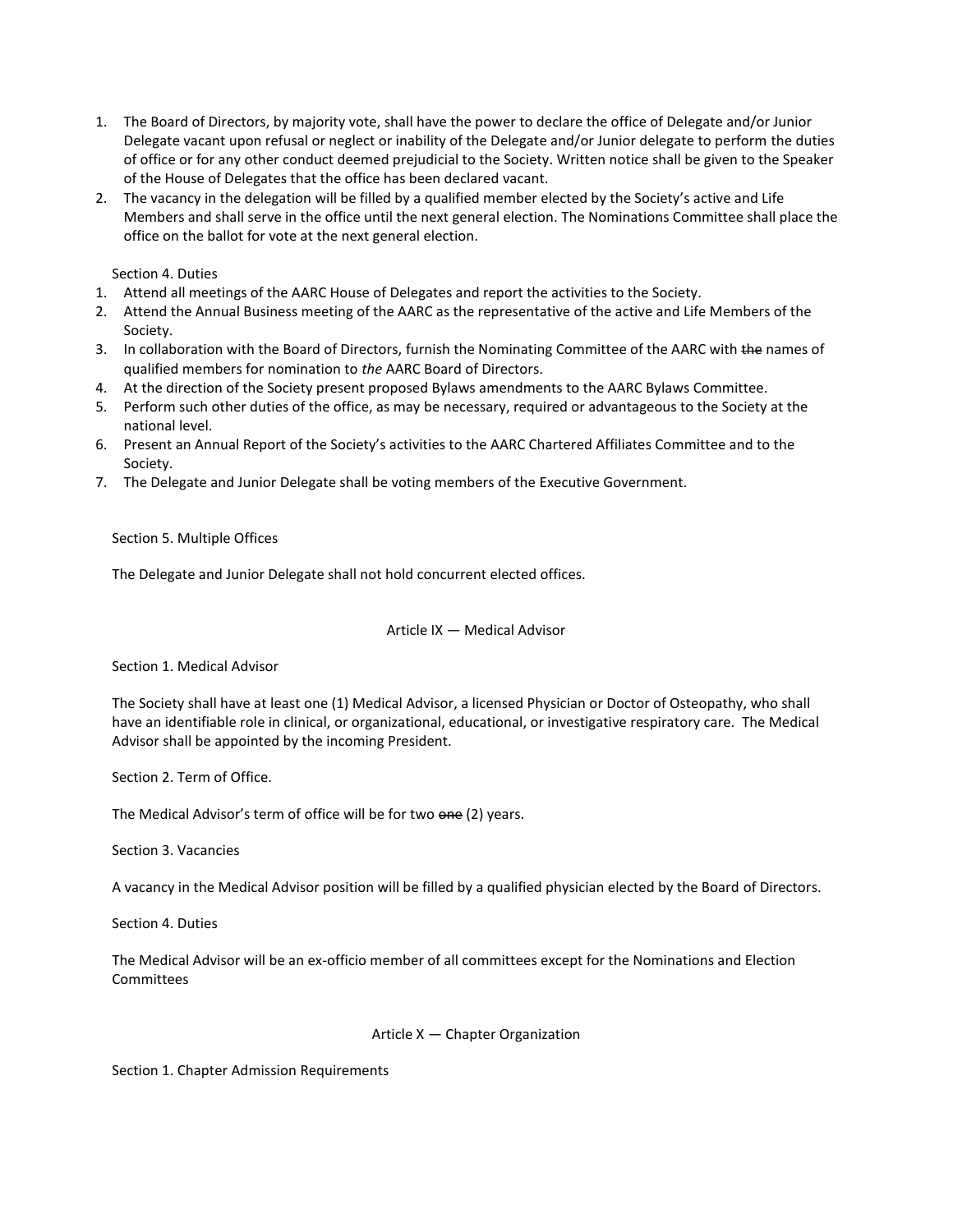- 1. The Board of Directors, by majority vote, shall have the power to declare the office of Delegate and/or Junior Delegate vacant upon refusal or neglect or inability of the Delegate and/or Junior delegate to perform the duties of office or for any other conduct deemed prejudicial to the Society. Written notice shall be given to the Speaker of the House of Delegates that the office has been declared vacant.
- 2. The vacancy in the delegation will be filled by a qualified member elected by the Society's active and Life Members and shall serve in the office until the next general election. The Nominations Committee shall place the office on the ballot for vote at the next general election.

Section 4. Duties

- 1. Attend all meetings of the AARC House of Delegates and report the activities to the Society.
- 2. Attend the Annual Business meeting of the AARC as the representative of the active and Life Members of the Society.
- 3. In collaboration with the Board of Directors, furnish the Nominating Committee of the AARC with the names of qualified members for nomination to *the* AARC Board of Directors.
- 4. At the direction of the Society present proposed Bylaws amendments to the AARC Bylaws Committee.
- 5. Perform such other duties of the office, as may be necessary, required or advantageous to the Society at the national level.
- 6. Present an Annual Report of the Society's activities to the AARC Chartered Affiliates Committee and to the Society.
- 7. The Delegate and Junior Delegate shall be voting members of the Executive Government.

Section 5. Multiple Offices

The Delegate and Junior Delegate shall not hold concurrent elected offices.

Article IX — Medical Advisor

Section 1. Medical Advisor

The Society shall have at least one (1) Medical Advisor, a licensed Physician or Doctor of Osteopathy, who shall have an identifiable role in clinical, or organizational, educational, or investigative respiratory care. The Medical Advisor shall be appointed by the incoming President.

Section 2. Term of Office.

The Medical Advisor's term of office will be for two one (2) years.

Section 3. Vacancies

A vacancy in the Medical Advisor position will be filled by a qualified physician elected by the Board of Directors.

Section 4. Duties

The Medical Advisor will be an ex-officio member of all committees except for the Nominations and Election Committees

#### Article X — Chapter Organization

Section 1. Chapter Admission Requirements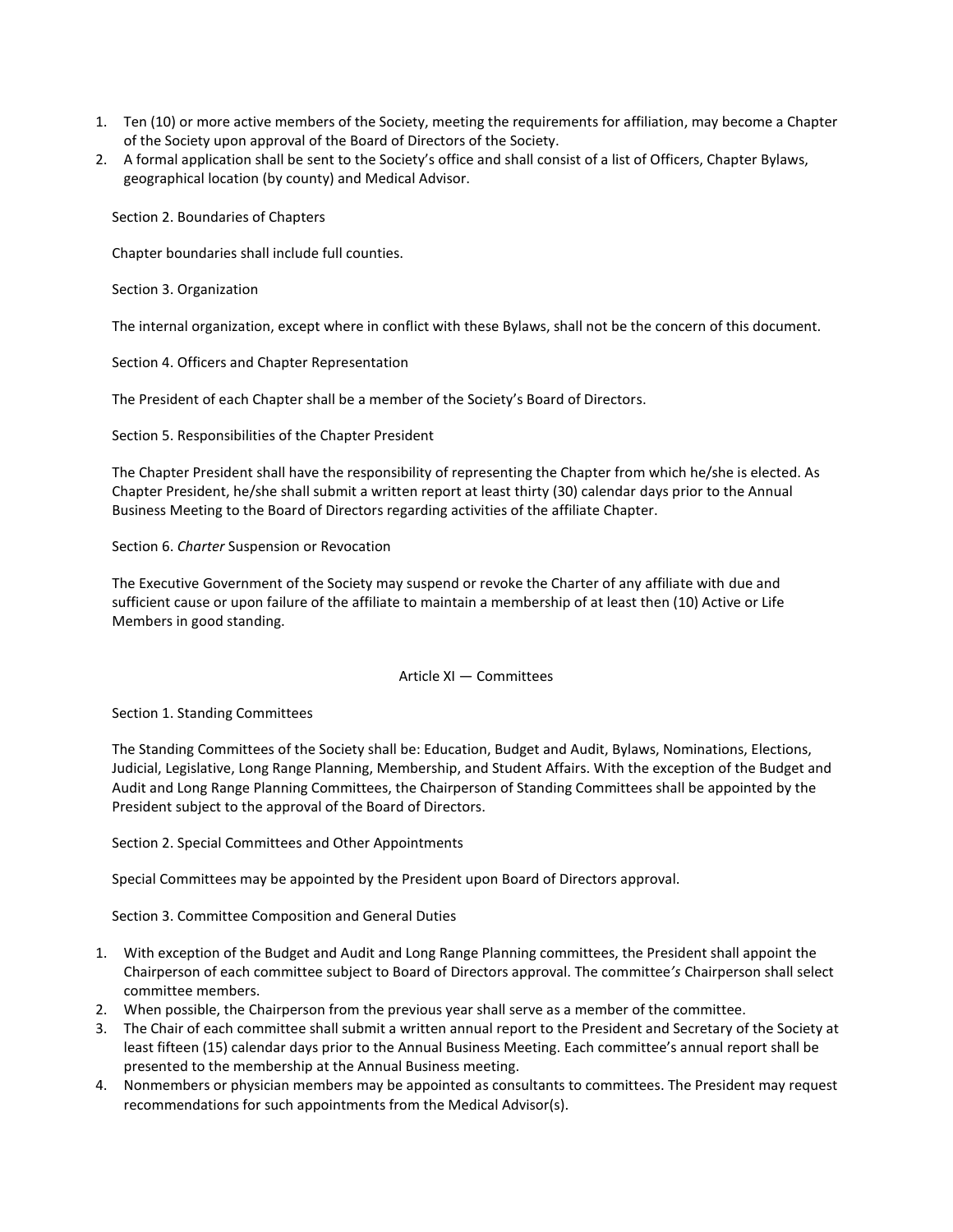- 1. Ten (10) or more active members of the Society, meeting the requirements for affiliation, may become a Chapter of the Society upon approval of the Board of Directors of the Society.
- 2. A formal application shall be sent to the Society's office and shall consist of a list of Officers, Chapter Bylaws, geographical location (by county) and Medical Advisor.

Section 2. Boundaries of Chapters

Chapter boundaries shall include full counties.

Section 3. Organization

The internal organization, except where in conflict with these Bylaws, shall not be the concern of this document.

Section 4. Officers and Chapter Representation

The President of each Chapter shall be a member of the Society's Board of Directors.

Section 5. Responsibilities of the Chapter President

The Chapter President shall have the responsibility of representing the Chapter from which he/she is elected. As Chapter President, he/she shall submit a written report at least thirty (30) calendar days prior to the Annual Business Meeting to the Board of Directors regarding activities of the affiliate Chapter.

Section 6. *Charter* Suspension or Revocation

The Executive Government of the Society may suspend or revoke the Charter of any affiliate with due and sufficient cause or upon failure of the affiliate to maintain a membership of at least then (10) Active or Life Members in good standing.

#### Article XI — Committees

Section 1. Standing Committees

The Standing Committees of the Society shall be: Education, Budget and Audit, Bylaws, Nominations, Elections, Judicial, Legislative, Long Range Planning, Membership, and Student Affairs. With the exception of the Budget and Audit and Long Range Planning Committees, the Chairperson of Standing Committees shall be appointed by the President subject to the approval of the Board of Directors.

Section 2. Special Committees and Other Appointments

Special Committees may be appointed by the President upon Board of Directors approval.

Section 3. Committee Composition and General Duties

- 1. With exception of the Budget and Audit and Long Range Planning committees, the President shall appoint the Chairperson of each committee subject to Board of Directors approval. The committee*'s* Chairperson shall select committee members.
- 2. When possible, the Chairperson from the previous year shall serve as a member of the committee.
- 3. The Chair of each committee shall submit a written annual report to the President and Secretary of the Society at least fifteen (15) calendar days prior to the Annual Business Meeting. Each committee's annual report shall be presented to the membership at the Annual Business meeting.
- 4. Nonmembers or physician members may be appointed as consultants to committees. The President may request recommendations for such appointments from the Medical Advisor(s).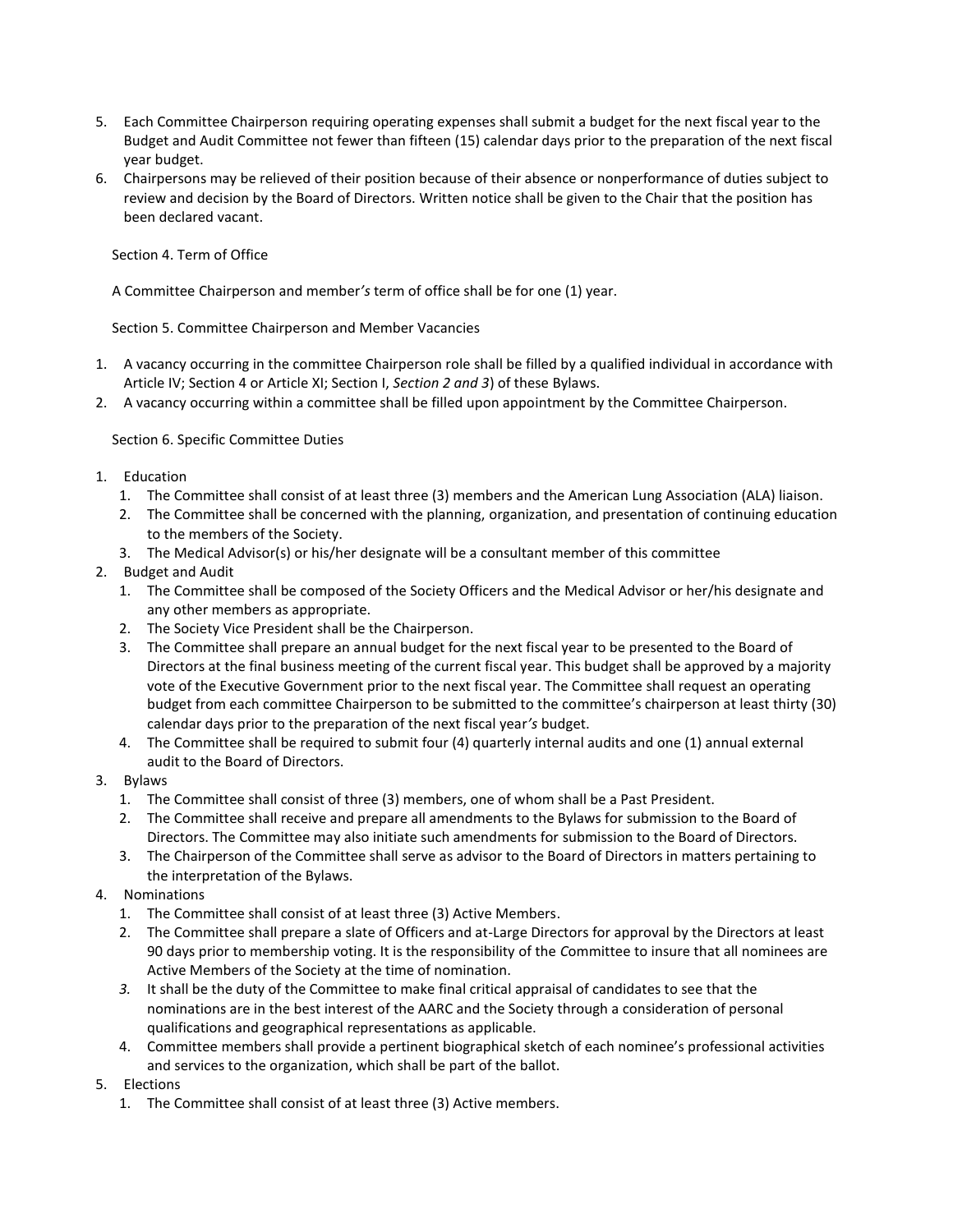- 5. Each Committee Chairperson requiring operating expenses shall submit a budget for the next fiscal year to the Budget and Audit Committee not fewer than fifteen (15) calendar days prior to the preparation of the next fiscal year budget.
- 6. Chairpersons may be relieved of their position because of their absence or nonperformance of duties subject to review and decision by the Board of Directors. Written notice shall be given to the Chair that the position has been declared vacant.

Section 4. Term of Office

A Committee Chairperson and member*'s* term of office shall be for one (1) year.

Section 5. Committee Chairperson and Member Vacancies

- 1. A vacancy occurring in the committee Chairperson role shall be filled by a qualified individual in accordance with Article IV; Section 4 or Article XI; Section I, *Section 2 and 3*) of these Bylaws.
- 2. A vacancy occurring within a committee shall be filled upon appointment by the Committee Chairperson.

Section 6. Specific Committee Duties

- 1. Education
	- 1. The Committee shall consist of at least three (3) members and the American Lung Association (ALA) liaison.
	- 2. The Committee shall be concerned with the planning, organization, and presentation of continuing education to the members of the Society.
	- 3. The Medical Advisor(s) or his/her designate will be a consultant member of this committee
- 2. Budget and Audit
	- 1. The Committee shall be composed of the Society Officers and the Medical Advisor or her/his designate and any other members as appropriate.
	- 2. The Society Vice President shall be the Chairperson.
	- 3. The Committee shall prepare an annual budget for the next fiscal year to be presented to the Board of Directors at the final business meeting of the current fiscal year. This budget shall be approved by a majority vote of the Executive Government prior to the next fiscal year. The Committee shall request an operating budget from each committee Chairperson to be submitted to the committee's chairperson at least thirty (30) calendar days prior to the preparation of the next fiscal year*'s* budget.
	- 4. The Committee shall be required to submit four (4) quarterly internal audits and one (1) annual external audit to the Board of Directors.
- 3. Bylaws
	- 1. The Committee shall consist of three (3) members, one of whom shall be a Past President.
	- 2. The Committee shall receive and prepare all amendments to the Bylaws for submission to the Board of Directors. The Committee may also initiate such amendments for submission to the Board of Directors.
	- 3. The Chairperson of the Committee shall serve as advisor to the Board of Directors in matters pertaining to the interpretation of the Bylaws.
- 4. Nominations
	- 1. The Committee shall consist of at least three (3) Active Members.
	- 2. The Committee shall prepare a slate of Officers and at-Large Directors for approval by the Directors at least 90 days prior to membership voting. It is the responsibility of the *C*ommittee to insure that all nominees are Active Members of the Society at the time of nomination.
	- *3.* It shall be the duty of the Committee to make final critical appraisal of candidates to see that the nominations are in the best interest of the AARC and the Society through a consideration of personal qualifications and geographical representations as applicable.
	- 4. Committee members shall provide a pertinent biographical sketch of each nominee's professional activities and services to the organization, which shall be part of the ballot.
- 5. Elections
	- 1. The Committee shall consist of at least three (3) Active members.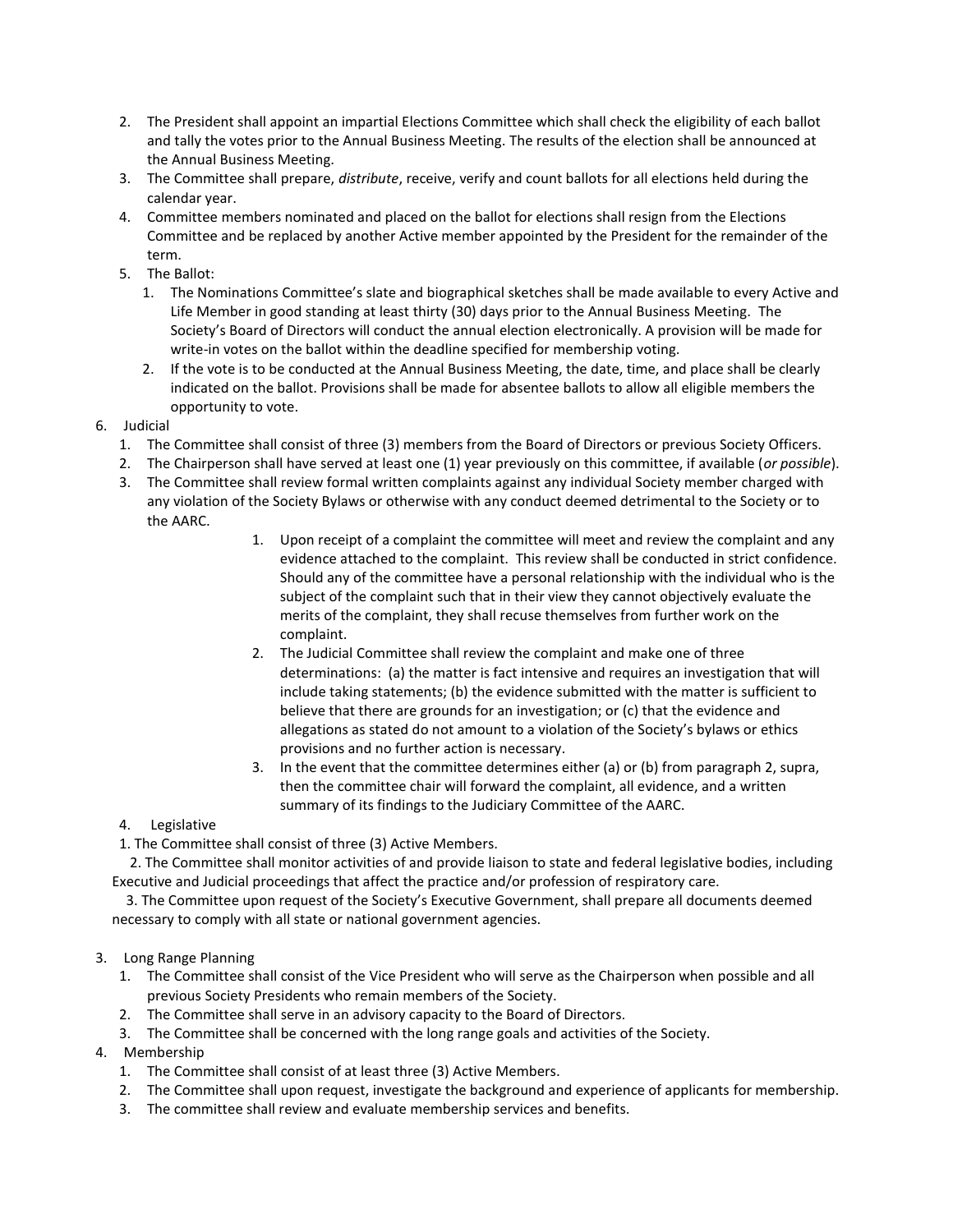- 2. The President shall appoint an impartial Elections Committee which shall check the eligibility of each ballot and tally the votes prior to the Annual Business Meeting. The results of the election shall be announced at the Annual Business Meeting.
- 3. The Committee shall prepare, *distribute*, receive, verify and count ballots for all elections held during the calendar year.
- 4. Committee members nominated and placed on the ballot for elections shall resign from the Elections Committee and be replaced by another Active member appointed by the President for the remainder of the term.
- 5. The Ballot:
	- 1. The Nominations Committee's slate and biographical sketches shall be made available to every Active and Life Member in good standing at least thirty (30) days prior to the Annual Business Meeting. The Society's Board of Directors will conduct the annual election electronically. A provision will be made for write-in votes on the ballot within the deadline specified for membership voting.
	- 2. If the vote is to be conducted at the Annual Business Meeting, the date, time, and place shall be clearly indicated on the ballot. Provisions shall be made for absentee ballots to allow all eligible members the opportunity to vote.
- 6. Judicial
	- 1. The Committee shall consist of three (3) members from the Board of Directors or previous Society Officers.
	- 2. The Chairperson shall have served at least one (1) year previously on this committee, if available (*or possible*).
	- 3. The Committee shall review formal written complaints against any individual Society member charged with any violation of the Society Bylaws or otherwise with any conduct deemed detrimental to the Society or to the AARC.
		- 1. Upon receipt of a complaint the committee will meet and review the complaint and any evidence attached to the complaint. This review shall be conducted in strict confidence. Should any of the committee have a personal relationship with the individual who is the subject of the complaint such that in their view they cannot objectively evaluate the merits of the complaint, they shall recuse themselves from further work on the complaint.
		- 2. The Judicial Committee shall review the complaint and make one of three determinations: (a) the matter is fact intensive and requires an investigation that will include taking statements; (b) the evidence submitted with the matter is sufficient to believe that there are grounds for an investigation; or (c) that the evidence and allegations as stated do not amount to a violation of the Society's bylaws or ethics provisions and no further action is necessary.
		- 3. In the event that the committee determines either (a) or (b) from paragraph 2, supra, then the committee chair will forward the complaint, all evidence, and a written summary of its findings to the Judiciary Committee of the AARC.
	- 4. Legislative
	- 1. The Committee shall consist of three (3) Active Members.

 2. The Committee shall monitor activities of and provide liaison to state and federal legislative bodies, including Executive and Judicial proceedings that affect the practice and/or profession of respiratory care.

 3. The Committee upon request of the Society's Executive Government, shall prepare all documents deemed necessary to comply with all state or national government agencies.

#### 3. Long Range Planning

- 1. The Committee shall consist of the Vice President who will serve as the Chairperson when possible and all previous Society Presidents who remain members of the Society.
- 2. The Committee shall serve in an advisory capacity to the Board of Directors.
- 3. The Committee shall be concerned with the long range goals and activities of the Society.
- 4. Membership
	- 1. The Committee shall consist of at least three (3) Active Members.
	- 2. The Committee shall upon request, investigate the background and experience of applicants for membership.
	- 3. The committee shall review and evaluate membership services and benefits.